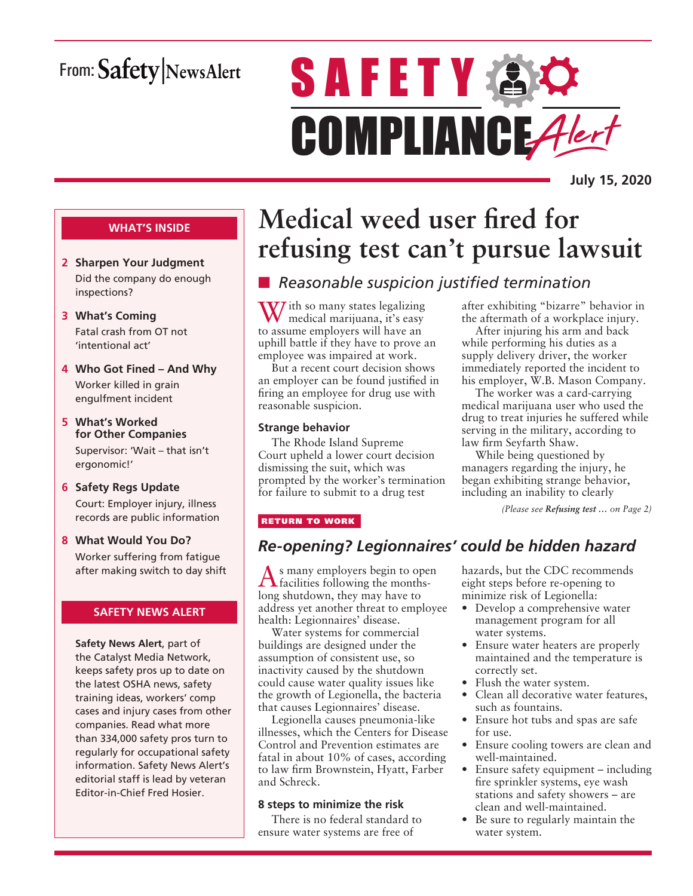# From: Safety NewsAlert

# **SAFETY AC** COMPLIANCE Alert

**July 15, 2020**

### **WHAT'S INSIDE**

- **2 Sharpen Your Judgment** Did the company do enough inspections?
- **3 What's Coming** Fatal crash from OT not 'intentional act'
- **4 Who Got Fined And Why** Worker killed in grain engulfment incident
- **5 What's Worked for Other Companies** Supervisor: 'Wait – that isn't ergonomic!'
- **6 Safety Regs Update** Court: Employer injury, illness records are public information
- **8 What Would You Do?** Worker suffering from fatigue after making switch to day shift

### **SAFETY NEWS ALERT**

**Safety News Alert**, part of the Catalyst Media Network, keeps safety pros up to date on the latest OSHA news, safety training ideas, workers' comp cases and injury cases from other companies. Read what more than 334,000 safety pros turn to regularly for occupational safety information. Safety News Alert's editorial staff is lead by veteran Editor-in-Chief Fred Hosier.

# **Medical weed user fired for refusing test can't pursue lawsuit**

# **n** *Reasonable suspicion justified termination*

W/ ith so many states legalizing medical marijuana, it's easy to assume employers will have an uphill battle if they have to prove an employee was impaired at work.

But a recent court decision shows an employer can be found justified in firing an employee for drug use with reasonable suspicion.

### **Strange behavior**

The Rhode Island Supreme Court upheld a lower court decision dismissing the suit, which was prompted by the worker's termination for failure to submit to a drug test

after exhibiting "bizarre" behavior in the aftermath of a workplace injury.

After injuring his arm and back while performing his duties as a supply delivery driver, the worker immediately reported the incident to his employer, W.B. Mason Company.

The worker was a card-carrying medical marijuana user who used the drug to treat injuries he suffered while serving in the military, according to law firm Seyfarth Shaw.

While being questioned by managers regarding the injury, he began exhibiting strange behavior, including an inability to clearly

*(Please see Refusing test … on Page 2)*

### RETURN TO WORK

### *Re-opening? Legionnaires' could be hidden hazard*

As many employers begin to open facilities following the monthslong shutdown, they may have to address yet another threat to employee health: Legionnaires' disease.

Water systems for commercial buildings are designed under the assumption of consistent use, so inactivity caused by the shutdown could cause water quality issues like the growth of Legionella, the bacteria that causes Legionnaires' disease.

Legionella causes pneumonia-like illnesses, which the Centers for Disease Control and Prevention estimates are fatal in about 10% of cases, according to law firm Brownstein, Hyatt, Farber and Schreck.

### **8 steps to minimize the risk**

There is no federal standard to ensure water systems are free of

hazards, but the CDC recommends eight steps before re-opening to minimize risk of Legionella:

- Develop a comprehensive water management program for all water systems.
- Ensure water heaters are properly maintained and the temperature is correctly set.
- Flush the water system.
- Clean all decorative water features, such as fountains.
- Ensure hot tubs and spas are safe for use.
- Ensure cooling towers are clean and well-maintained.
- Ensure safety equipment including fire sprinkler systems, eye wash stations and safety showers – are clean and well-maintained.
- Be sure to regularly maintain the water system.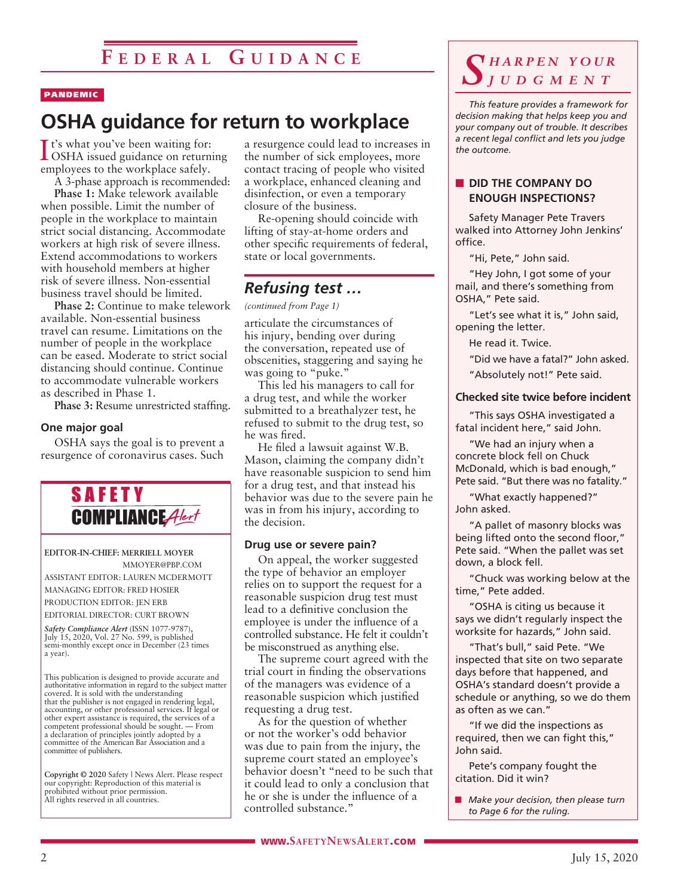### PANDEMIC

# **OSHA guidance for return to workplace**

It's what you've been waiting for:<br>OSHA issued guidance on returni OSHA issued guidance on returning employees to the workplace safely.

A 3-phase approach is recommended:

**Phase 1:** Make telework available when possible. Limit the number of people in the workplace to maintain strict social distancing. Accommodate workers at high risk of severe illness. Extend accommodations to workers with household members at higher risk of severe illness. Non-essential business travel should be limited.

**Phase 2:** Continue to make telework available. Non-essential business travel can resume. Limitations on the number of people in the workplace can be eased. Moderate to strict social distancing should continue. Continue to accommodate vulnerable workers as described in Phase 1.

**Phase 3:** Resume unrestricted staffing.

### **One major goal**

OSHA says the goal is to prevent a resurgence of coronavirus cases. Such



#### **EDITOR-IN-CHIEF: MERRIELL MOYER** MMOYER@PBP.COM

ASSISTANT EDITOR: LAUREN MCDERMOTT MANAGING EDITOR: FRED HOSIER PRODUCTION EDITOR: JEN ERB EDITORIAL DIRECTOR: CURT BROWN

*Safety Compliance Alert* (ISSN 1077-9787), July 15, 2020, Vol. 27 No. 599, is published semi-monthly except once in December (23 times a year).

This publication is designed to provide accurate and authoritative information in regard to the subject matter covered. It is sold with the understanding that the publisher is not engaged in rendering legal, accounting, or other professional services. If legal or other expert assistance is required, the services of a competent professional should be sought. — From a declaration of principles jointly adopted by a committee of the American Bar Association and a committee of publishers.

**Copyright © 2020** Safety | News Alert. Please respect our copyright: Reproduction of this material is prohibited without prior permission. All rights reserved in all countries.

a resurgence could lead to increases in the number of sick employees, more contact tracing of people who visited a workplace, enhanced cleaning and disinfection, or even a temporary closure of the business.

Re-opening should coincide with lifting of stay-at-home orders and other specific requirements of federal, state or local governments.

### *Refusing test …*

*(continued from Page 1)*

articulate the circumstances of his injury, bending over during the conversation, repeated use of obscenities, staggering and saying he was going to "puke."

This led his managers to call for a drug test, and while the worker submitted to a breathalyzer test, he refused to submit to the drug test, so he was fired.

He filed a lawsuit against W.B. Mason, claiming the company didn't have reasonable suspicion to send him for a drug test, and that instead his behavior was due to the severe pain he was in from his injury, according to the decision.

### **Drug use or severe pain?**

On appeal, the worker suggested the type of behavior an employer relies on to support the request for a reasonable suspicion drug test must lead to a definitive conclusion the employee is under the influence of a controlled substance. He felt it couldn't be misconstrued as anything else.

The supreme court agreed with the trial court in finding the observations of the managers was evidence of a reasonable suspicion which justified requesting a drug test.

As for the question of whether or not the worker's odd behavior was due to pain from the injury, the supreme court stated an employee's behavior doesn't "need to be such that it could lead to only a conclusion that he or she is under the influence of a controlled substance."

### *S h a r p e n y o u r j u d g m e n t*

*This feature provides a framework for decision making that helps keep you and your company out of trouble. It describes a recent legal conflict and lets you judge the outcome.*

### **NO DID THE COMPANY DO ENOUGH INSPECTIONS?**

Safety Manager Pete Travers walked into Attorney John Jenkins' office.

"Hi, Pete," John said.

"Hey John, I got some of your mail, and there's something from OSHA," Pete said.

"Let's see what it is," John said, opening the letter.

He read it. Twice.

"Did we have a fatal?" John asked.

"Absolutely not!" Pete said.

### **Checked site twice before incident**

"This says OSHA investigated a fatal incident here," said John.

"We had an injury when a concrete block fell on Chuck McDonald, which is bad enough," Pete said. "But there was no fatality."

"What exactly happened?" John asked.

"A pallet of masonry blocks was being lifted onto the second floor," Pete said. "When the pallet was set down, a block fell.

"Chuck was working below at the time," Pete added.

"OSHA is citing us because it says we didn't regularly inspect the worksite for hazards," John said.

"That's bull," said Pete. "We inspected that site on two separate days before that happened, and OSHA's standard doesn't provide a schedule or anything, so we do them as often as we can."

"If we did the inspections as required, then we can fight this," John said.

Pete's company fought the citation. Did it win?

**n** *Make your decision, then please turn to Page 6 for the ruling.*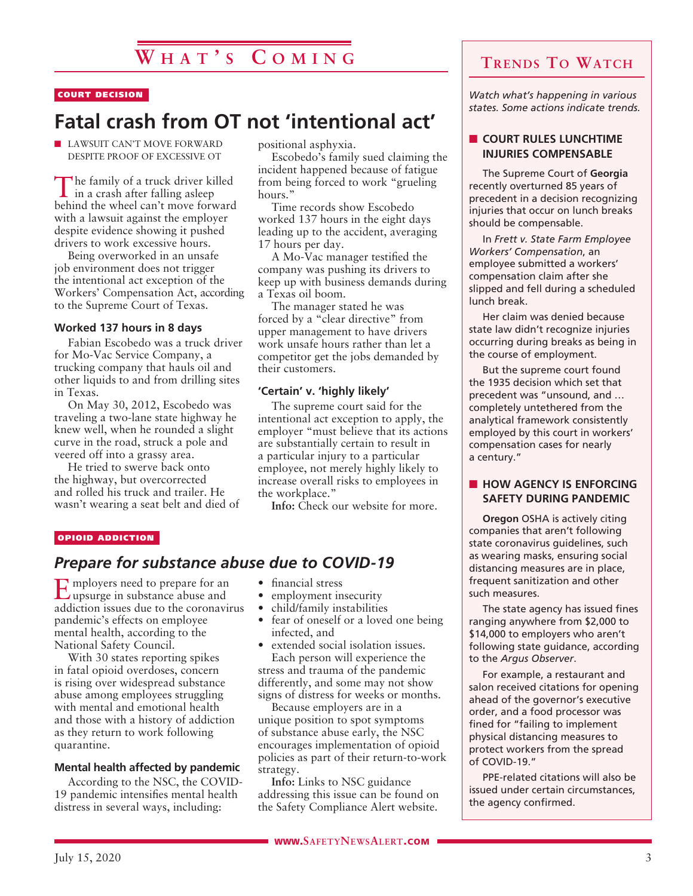### COURT DECISION

# **Fatal crash from OT not 'intentional act'**

**N** LAWSUIT CAN'T MOVE FORWARD DESPITE PROOF OF EXCESSIVE OT

The family of a truck driver killed  $\mathsf{L}$  in a crash after falling asleep behind the wheel can't move forward with a lawsuit against the employer despite evidence showing it pushed drivers to work excessive hours.

Being overworked in an unsafe job environment does not trigger the intentional act exception of the Workers' Compensation Act, according to the Supreme Court of Texas.

### **Worked 137 hours in 8 days**

Fabian Escobedo was a truck driver for Mo-Vac Service Company, a trucking company that hauls oil and other liquids to and from drilling sites in Texas.

On May 30, 2012, Escobedo was traveling a two-lane state highway he knew well, when he rounded a slight curve in the road, struck a pole and veered off into a grassy area.

He tried to swerve back onto the highway, but overcorrected and rolled his truck and trailer. He wasn't wearing a seat belt and died of positional asphyxia.

Escobedo's family sued claiming the incident happened because of fatigue from being forced to work "grueling hours."

Time records show Escobedo worked 137 hours in the eight days leading up to the accident, averaging 17 hours per day.

A Mo-Vac manager testified the company was pushing its drivers to keep up with business demands during a Texas oil boom.

The manager stated he was forced by a "clear directive" from upper management to have drivers work unsafe hours rather than let a competitor get the jobs demanded by their customers.

### **'Certain' v. 'highly likely'**

The supreme court said for the intentional act exception to apply, the employer "must believe that its actions are substantially certain to result in a particular injury to a particular employee, not merely highly likely to increase overall risks to employees in the workplace."

**Info:** Check our website for more.

#### OPIOID ADDICTION

### *Prepare for substance abuse due to COVID-19*

Employers need to prepare for an upsurge in substance abuse and addiction issues due to the coronavirus pandemic's effects on employee mental health, according to the National Safety Council.

With 30 states reporting spikes in fatal opioid overdoses, concern is rising over widespread substance abuse among employees struggling with mental and emotional health and those with a history of addiction as they return to work following quarantine.

### **Mental health affected by pandemic**

According to the NSC, the COVID-19 pandemic intensifies mental health distress in several ways, including:

- financial stress
- employment insecurity
- child/family instabilities
- fear of oneself or a loved one being infected, and
- extended social isolation issues.

Each person will experience the stress and trauma of the pandemic differently, and some may not show signs of distress for weeks or months.

Because employers are in a unique position to spot symptoms of substance abuse early, the NSC encourages implementation of opioid policies as part of their return-to-work strategy.

**Info:** Links to NSC guidance addressing this issue can be found on the Safety Compliance Alert website.

### **Trends To Watch**

*Watch what's happening in various states. Some actions indicate trends.*

### **n COURT RULES LUNCHTIME INJURIES COMPENSABLE**

The Supreme Court of **Georgia** recently overturned 85 years of precedent in a decision recognizing injuries that occur on lunch breaks should be compensable.

In *Frett v. State Farm Employee Workers' Compensation*, an employee submitted a workers' compensation claim after she slipped and fell during a scheduled lunch break.

Her claim was denied because state law didn't recognize injuries occurring during breaks as being in the course of employment.

But the supreme court found the 1935 decision which set that precedent was "unsound, and … completely untethered from the analytical framework consistently employed by this court in workers' compensation cases for nearly a century."

### **NOW AGENCY IS ENFORCING SAFETY DURING PANDEMIC**

**Oregon** OSHA is actively citing companies that aren't following state coronavirus guidelines, such as wearing masks, ensuring social distancing measures are in place, frequent sanitization and other such measures.

The state agency has issued fines ranging anywhere from \$2,000 to \$14,000 to employers who aren't following state guidance, according to the *Argus Observer*.

For example, a restaurant and salon received citations for opening ahead of the governor's executive order, and a food processor was fined for "failing to implement physical distancing measures to protect workers from the spread of COVID-19."

PPE-related citations will also be issued under certain circumstances, the agency confirmed.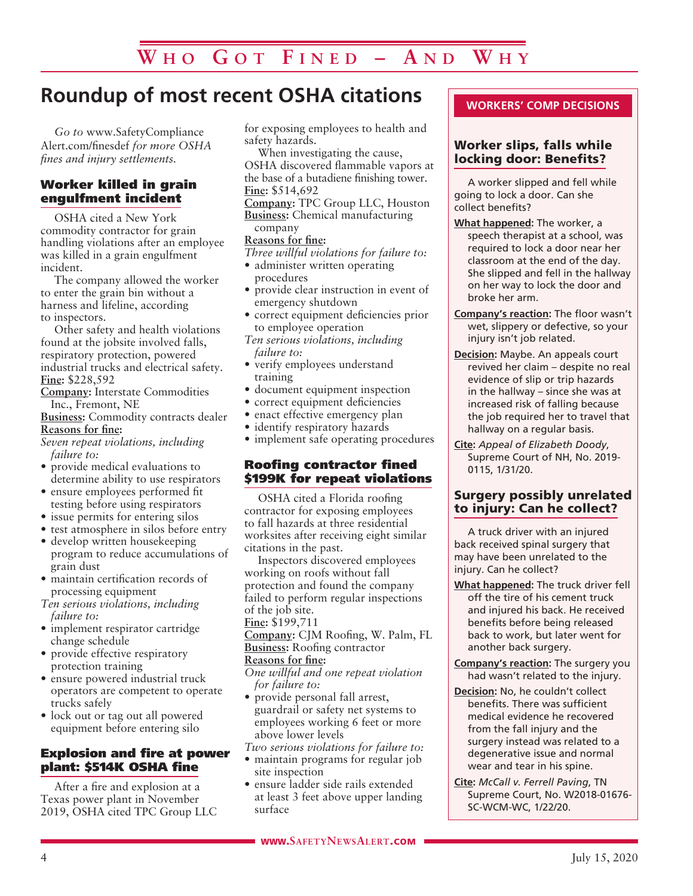# **Roundup of most recent OSHA citations**

*Go to* www.SafetyCompliance Alert.com/finesdef *for more OSHA fines and injury settlements.*

### Worker killed in grain engulfment incident

OSHA cited a New York commodity contractor for grain handling violations after an employee was killed in a grain engulfment incident.

The company allowed the worker to enter the grain bin without a harness and lifeline, according to inspectors.

Other safety and health violations found at the jobsite involved falls, respiratory protection, powered industrial trucks and electrical safety. **Fine:** \$228,592

**Company:** Interstate Commodities Inc., Fremont, NE

**Business:** Commodity contracts dealer **Reasons for fine:**

- *Seven repeat violations, including failure to:*
- provide medical evaluations to determine ability to use respirators
- ensure employees performed fit testing before using respirators
- issue permits for entering silos
- test atmosphere in silos before entry
- develop written housekeeping program to reduce accumulations of grain dust
- maintain certification records of processing equipment

*Ten serious violations, including failure to:*

- implement respirator cartridge change schedule
- provide effective respiratory protection training
- ensure powered industrial truck operators are competent to operate trucks safely
- lock out or tag out all powered equipment before entering silo

### Explosion and fire at power plant: \$514K OSHA fine

After a fire and explosion at a Texas power plant in November 2019, OSHA cited TPC Group LLC for exposing employees to health and safety hazards.

When investigating the cause, OSHA discovered flammable vapors at the base of a butadiene finishing tower. **Fine:** \$514,692

**Company:** TPC Group LLC, Houston **Business:** Chemical manufacturing company

### **Reasons for fine:**

*Three willful violations for failure to:*

- administer written operating procedures
- provide clear instruction in event of emergency shutdown
- correct equipment deficiencies prior to employee operation
- *Ten serious violations, including failure to:*
- verify employees understand training
- document equipment inspection
- correct equipment deficiencies
- enact effective emergency plan
- identify respiratory hazards
- implement safe operating procedures

### Roofing contractor fined \$199K for repeat violations

OSHA cited a Florida roofing contractor for exposing employees to fall hazards at three residential worksites after receiving eight similar citations in the past.

Inspectors discovered employees working on roofs without fall protection and found the company failed to perform regular inspections of the job site.

**Fine:** \$199,711

**Company:** CJM Roofing, W. Palm, FL **Business:** Roofing contractor

**Reasons for fine:**

*One willful and one repeat violation for failure to:*

- provide personal fall arrest, guardrail or safety net systems to employees working 6 feet or more above lower levels
- *Two serious violations for failure to:*
- maintain programs for regular job site inspection
- ensure ladder side rails extended at least 3 feet above upper landing surface

### Worker slips, falls while locking door: Benefits?

A worker slipped and fell while going to lock a door. Can she collect benefits?

- **What happened:** The worker, a speech therapist at a school, was required to lock a door near her classroom at the end of the day. She slipped and fell in the hallway on her way to lock the door and broke her arm.
- **Company's reaction:** The floor wasn't wet, slippery or defective, so your injury isn't job related.
- **Decision:** Maybe. An appeals court revived her claim – despite no real evidence of slip or trip hazards in the hallway – since she was at increased risk of falling because the job required her to travel that hallway on a regular basis.
- **Cite:** *Appeal of Elizabeth Doody*, Supreme Court of NH, No. 2019- 0115, 1/31/20.

### Surgery possibly unrelated to injury: Can he collect?

A truck driver with an injured back received spinal surgery that may have been unrelated to the injury. Can he collect?

- **What happened:** The truck driver fell off the tire of his cement truck and injured his back. He received benefits before being released back to work, but later went for another back surgery.
- **Company's reaction:** The surgery you had wasn't related to the injury.
- **Decision:** No, he couldn't collect benefits. There was sufficient medical evidence he recovered from the fall injury and the surgery instead was related to a degenerative issue and normal wear and tear in his spine.
- **Cite:** *McCall v. Ferrell Paving*, TN Supreme Court, No. W2018-01676- SC-WCM-WC, 1/22/20.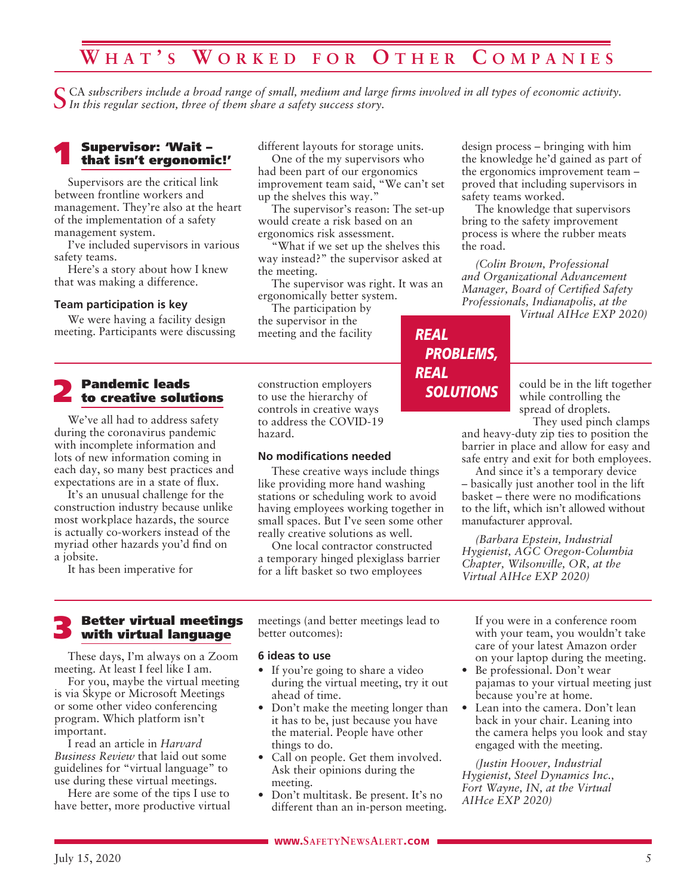# **W h a t ' s W o r k e d f o r O t h e r C o m p a n i e s**

CA subscribers include a broad range of small, medium and large firms involved in all types of economic activity. *In this regular section, three of them share a safety success story.*

# 1 Supervisor: 'Wait – that isn't ergonomic!'

Supervisors are the critical link between frontline workers and management. They're also at the heart of the implementation of a safety management system.

I've included supervisors in various safety teams.

Here's a story about how I knew that was making a difference.

### **Team participation is key**

We were having a facility design meeting. Participants were discussing

# **2** Pandemic leads<br>to creative solutions

We've all had to address safety during the coronavirus pandemic with incomplete information and lots of new information coming in each day, so many best practices and expectations are in a state of flux.

It's an unusual challenge for the construction industry because unlike most workplace hazards, the source is actually co-workers instead of the myriad other hazards you'd find on a jobsite.

It has been imperative for

different layouts for storage units.

One of the my supervisors who had been part of our ergonomics improvement team said, "We can't set up the shelves this way."

The supervisor's reason: The set-up would create a risk based on an ergonomics risk assessment.

"What if we set up the shelves this way instead?" the supervisor asked at the meeting.

The supervisor was right. It was an ergonomically better system.

The participation by

the supervisor in the meeting and the facility

construction employers to use the hierarchy of controls in creative ways to address the COVID-19 hazard.

#### **No modifications needed**

These creative ways include things like providing more hand washing stations or scheduling work to avoid having employees working together in small spaces. But I've seen some other really creative solutions as well.

One local contractor constructed a temporary hinged plexiglass barrier for a lift basket so two employees

design process – bringing with him the knowledge he'd gained as part of the ergonomics improvement team – proved that including supervisors in safety teams worked.

The knowledge that supervisors bring to the safety improvement process is where the rubber meats the road.

*(Colin Brown, Professional and Organizational Advancement Manager, Board of Certified Safety Professionals, Indianapolis, at the* 

*Virtual AIHce EXP 2020)*

### *REAL PROBLEMS, REAL SOLUTIONS*

could be in the lift together while controlling the spread of droplets.

They used pinch clamps and heavy-duty zip ties to position the barrier in place and allow for easy and safe entry and exit for both employees.

And since it's a temporary device – basically just another tool in the lift basket – there were no modifications to the lift, which isn't allowed without manufacturer approval.

*(Barbara Epstein, Industrial Hygienist, AGC Oregon-Columbia Chapter, Wilsonville, OR, at the Virtual AIHce EXP 2020)*

# 3 Better virtual meetings with virtual language

These days, I'm always on a Zoom meeting. At least I feel like I am.

For you, maybe the virtual meeting is via Skype or Microsoft Meetings or some other video conferencing program. Which platform isn't important.

I read an article in *Harvard Business Review* that laid out some guidelines for "virtual language" to use during these virtual meetings.

Here are some of the tips I use to have better, more productive virtual meetings (and better meetings lead to better outcomes):

#### **6 ideas to use**

- If you're going to share a video during the virtual meeting, try it out ahead of time.
- Don't make the meeting longer than it has to be, just because you have the material. People have other things to do.
- Call on people. Get them involved. Ask their opinions during the meeting.
- Don't multitask. Be present. It's no different than an in-person meeting.

If you were in a conference room with your team, you wouldn't take care of your latest Amazon order on your laptop during the meeting.

- Be professional. Don't wear pajamas to your virtual meeting just because you're at home.
- Lean into the camera. Don't lean back in your chair. Leaning into the camera helps you look and stay engaged with the meeting.

*(Justin Hoover, Industrial Hygienist, Steel Dynamics Inc., Fort Wayne, IN, at the Virtual AIHce EXP 2020)*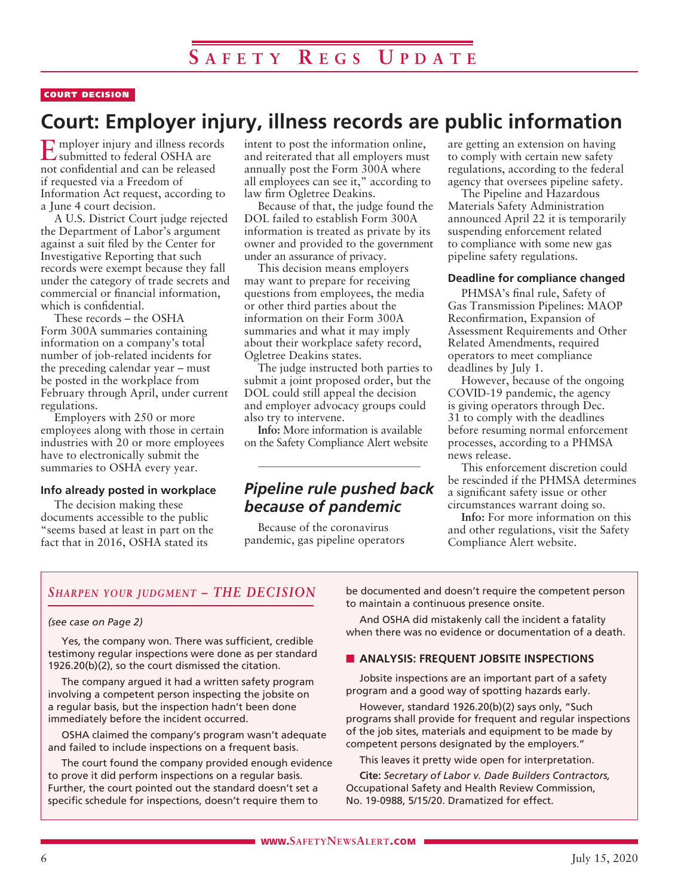### COURT DECISION

# **Court: Employer injury, illness records are public information**

**E**mployer injury and illness records submitted to federal OSHA are not confidential and can be released if requested via a Freedom of Information Act request, according to a June 4 court decision.

A U.S. District Court judge rejected the Department of Labor's argument against a suit filed by the Center for Investigative Reporting that such records were exempt because they fall under the category of trade secrets and commercial or financial information, which is confidential.

These records – the OSHA Form 300A summaries containing information on a company's total number of job-related incidents for the preceding calendar year – must be posted in the workplace from February through April, under current regulations.

Employers with 250 or more employees along with those in certain industries with 20 or more employees have to electronically submit the summaries to OSHA every year.

### **Info already posted in workplace**

The decision making these documents accessible to the public "seems based at least in part on the fact that in 2016, OSHA stated its

intent to post the information online, and reiterated that all employers must annually post the Form 300A where all employees can see it," according to law firm Ogletree Deakins.

Because of that, the judge found the DOL failed to establish Form 300A information is treated as private by its owner and provided to the government under an assurance of privacy.

This decision means employers may want to prepare for receiving questions from employees, the media or other third parties about the information on their Form 300A summaries and what it may imply about their workplace safety record, Ogletree Deakins states.

The judge instructed both parties to submit a joint proposed order, but the DOL could still appeal the decision and employer advocacy groups could also try to intervene.

**Info:** More information is available on the Safety Compliance Alert website

### *Pipeline rule pushed back because of pandemic*

Because of the coronavirus pandemic, gas pipeline operators are getting an extension on having to comply with certain new safety regulations, according to the federal agency that oversees pipeline safety.

The Pipeline and Hazardous Materials Safety Administration announced April 22 it is temporarily suspending enforcement related to compliance with some new gas pipeline safety regulations.

### **Deadline for compliance changed**

PHMSA's final rule, Safety of Gas Transmission Pipelines: MAOP Reconfirmation, Expansion of Assessment Requirements and Other Related Amendments, required operators to meet compliance deadlines by July 1.

However, because of the ongoing COVID-19 pandemic, the agency is giving operators through Dec. 31 to comply with the deadlines before resuming normal enforcement processes, according to a PHMSA news release.

This enforcement discretion could be rescinded if the PHMSA determines a significant safety issue or other circumstances warrant doing so.

**Info:** For more information on this and other regulations, visit the Safety Compliance Alert website.

### *Sharpen your judgment – THE DECISION*

### *(see case on Page 2)*

Yes, the company won. There was sufficient, credible testimony regular inspections were done as per standard 1926.20(b)(2), so the court dismissed the citation.

The company argued it had a written safety program involving a competent person inspecting the jobsite on a regular basis, but the inspection hadn't been done immediately before the incident occurred.

OSHA claimed the company's program wasn't adequate and failed to include inspections on a frequent basis.

The court found the company provided enough evidence to prove it did perform inspections on a regular basis. Further, the court pointed out the standard doesn't set a specific schedule for inspections, doesn't require them to

be documented and doesn't require the competent person to maintain a continuous presence onsite.

And OSHA did mistakenly call the incident a fatality when there was no evidence or documentation of a death.

### **N** ANALYSIS: FREQUENT JOBSITE INSPECTIONS

Jobsite inspections are an important part of a safety program and a good way of spotting hazards early.

However, standard 1926.20(b)(2) says only, "Such programs shall provide for frequent and regular inspections of the job sites, materials and equipment to be made by competent persons designated by the employers."

This leaves it pretty wide open for interpretation.

**Cite:** *Secretary of Labor v. Dade Builders Contractors,* Occupational Safety and Health Review Commission, No. 19-0988, 5/15/20. Dramatized for effect.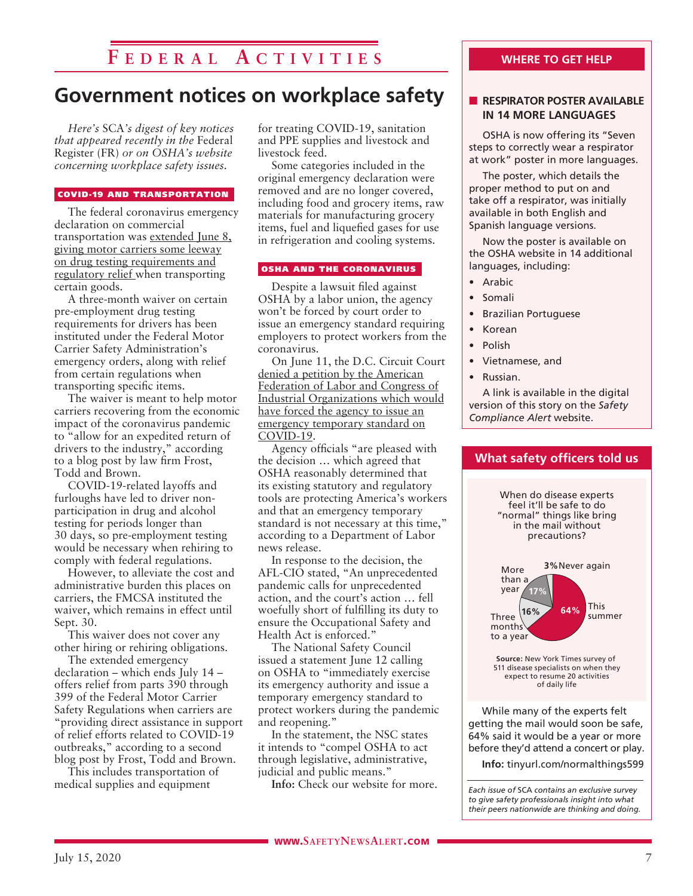# **F e d e r a l A c t i v i t i e s**

# **Government notices on workplace safety**

*Here's* SCA*'s digest of key notices that appeared recently in the* Federal Register (FR) *or on OSHA's website concerning workplace safety issues.* 

#### COVID-19 AND TRANSPORTATION

The federal coronavirus emergency declaration on commercial transportation was extended June 8, giving motor carriers some leeway on drug testing requirements and regulatory relief when transporting certain goods.

A three-month waiver on certain pre-employment drug testing requirements for drivers has been instituted under the Federal Motor Carrier Safety Administration's emergency orders, along with relief from certain regulations when transporting specific items.

The waiver is meant to help motor carriers recovering from the economic impact of the coronavirus pandemic to "allow for an expedited return of drivers to the industry," according to a blog post by law firm Frost, Todd and Brown.

COVID-19-related layoffs and furloughs have led to driver nonparticipation in drug and alcohol testing for periods longer than 30 days, so pre-employment testing would be necessary when rehiring to comply with federal regulations.

However, to alleviate the cost and administrative burden this places on carriers, the FMCSA instituted the waiver, which remains in effect until Sept. 30.

This waiver does not cover any other hiring or rehiring obligations.

The extended emergency declaration – which ends July 14 – offers relief from parts 390 through 399 of the Federal Motor Carrier Safety Regulations when carriers are "providing direct assistance in support of relief efforts related to COVID-19 outbreaks," according to a second blog post by Frost, Todd and Brown.

This includes transportation of medical supplies and equipment

for treating COVID-19, sanitation and PPE supplies and livestock and livestock feed.

Some categories included in the original emergency declaration were removed and are no longer covered, including food and grocery items, raw materials for manufacturing grocery items, fuel and liquefied gases for use in refrigeration and cooling systems.

#### OSHA AND THE CORONAVIRUS

Despite a lawsuit filed against OSHA by a labor union, the agency won't be forced by court order to issue an emergency standard requiring employers to protect workers from the coronavirus.

On June 11, the D.C. Circuit Court denied a petition by the American Federation of Labor and Congress of Industrial Organizations which would have forced the agency to issue an emergency temporary standard on COVID-19.

Agency officials "are pleased with the decision … which agreed that OSHA reasonably determined that its existing statutory and regulatory tools are protecting America's workers and that an emergency temporary standard is not necessary at this time," according to a Department of Labor news release.

In response to the decision, the AFL-CIO stated, "An unprecedented pandemic calls for unprecedented action, and the court's action … fell woefully short of fulfilling its duty to ensure the Occupational Safety and Health Act is enforced."

The National Safety Council issued a statement June 12 calling on OSHA to "immediately exercise its emergency authority and issue a temporary emergency standard to protect workers during the pandemic and reopening."

In the statement, the NSC states it intends to "compel OSHA to act through legislative, administrative, judicial and public means."

**Info:** Check our website for more.

### **WHERE TO GET HELP**

### **N RESPIRATOR POSTER AVAILABLE IN 14 MORE LANGUAGES**

OSHA is now offering its "Seven steps to correctly wear a respirator at work" poster in more languages.

The poster, which details the proper method to put on and take off a respirator, was initially available in both English and Spanish language versions.

Now the poster is available on the OSHA website in 14 additional languages, including:

- Arabic
- Somali
- Brazilian Portuguese
- Korean
- Polish
- Vietnamese, and
- Russian.

A link is available in the digital version of this story on the *Safety Compliance Alert* website.



**Info:** tinyurl.com/normalthings599

*Each issue of* SCA *contains an exclusive survey to give safety professionals insight into what their peers nationwide are thinking and doing.*